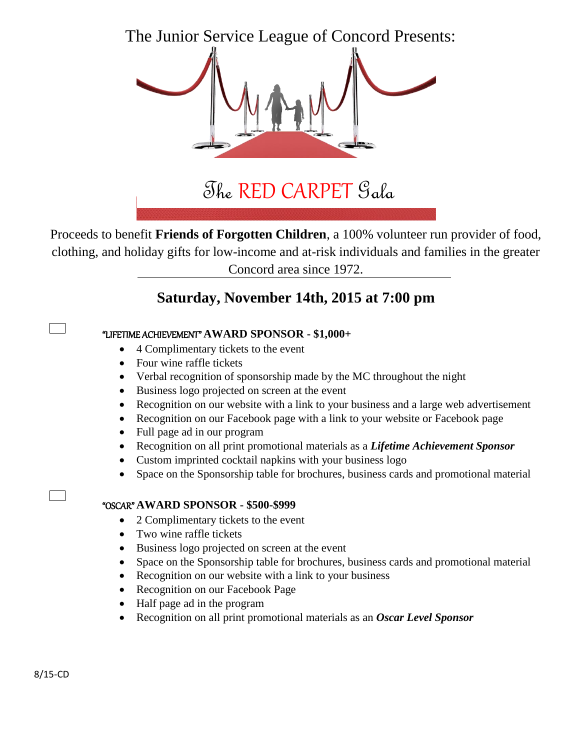The Junior Service League of Concord Presents:



**to benefit:** The RED CARPET Gala

Proceeds to benefit **Friends of Forgotten Children**, a 100% volunteer run provider of food, clothing, and holiday gifts for low-income and at-risk individuals and families in the greater Concord area since 1972.

## **Saturday, November 14th, 2015 at 7:00 pm**

## "LIFETIME ACHIEVEMENT" **AWARD SPONSOR - \$1,000+**

- 4 Complimentary tickets to the event
- Four wine raffle tickets
- Verbal recognition of sponsorship made by the MC throughout the night
- Business logo projected on screen at the event
- Recognition on our website with a link to your business and a large web advertisement
- Recognition on our Facebook page with a link to your website or Facebook page
- Full page ad in our program
- Recognition on all print promotional materials as a *Lifetime Achievement Sponsor*
- Custom imprinted cocktail napkins with your business logo
- Space on the Sponsorship table for brochures, business cards and promotional material

## "OSCAR" **AWARD SPONSOR - \$500-\$999**

- 2 Complimentary tickets to the event
- Two wine raffle tickets
- Business logo projected on screen at the event
- Space on the Sponsorship table for brochures, business cards and promotional material
- Recognition on our website with a link to your business
- Recognition on our Facebook Page
- Half page ad in the program
- Recognition on all print promotional materials as an *Oscar Level Sponsor*

 $\Box$